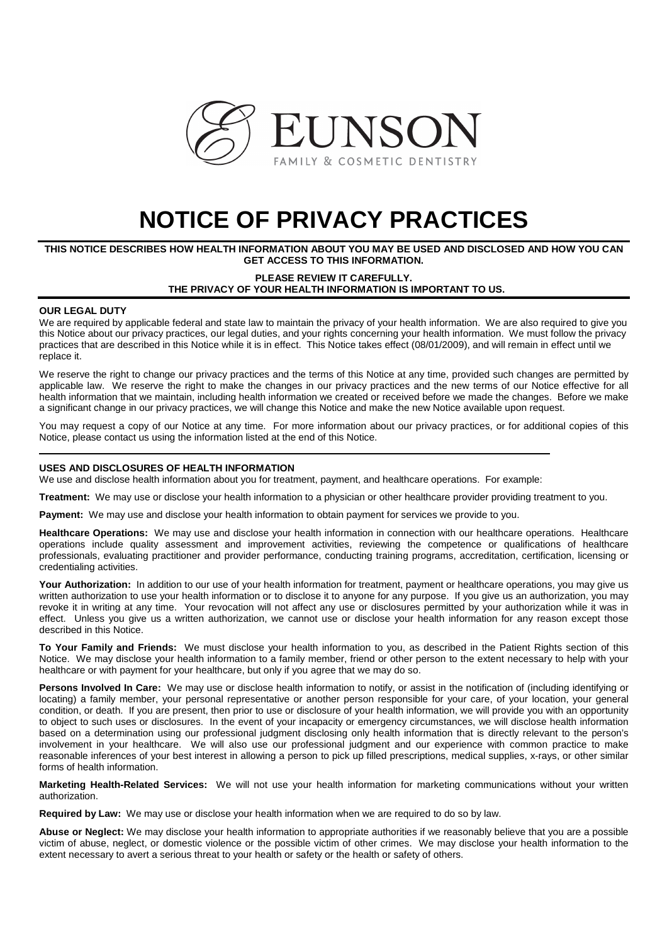

# **NOTICE OF PRIVACY PRACTICES**

# **THIS NOTICE DESCRIBES HOW HEALTH INFORMATION ABOUT YOU MAY BE USED AND DISCLOSED AND HOW YOU CAN GET ACCESS TO THIS INFORMATION.**

## **PLEASE REVIEW IT CAREFULLY. THE PRIVACY OF YOUR HEALTH INFORMATION IS IMPORTANT TO US.**

## **OUR LEGAL DUTY**

We are required by applicable federal and state law to maintain the privacy of your health information. We are also required to give you this Notice about our privacy practices, our legal duties, and your rights concerning your health information. We must follow the privacy practices that are described in this Notice while it is in effect. This Notice takes effect (08/01/2009), and will remain in effect until we replace it.

We reserve the right to change our privacy practices and the terms of this Notice at any time, provided such changes are permitted by applicable law. We reserve the right to make the changes in our privacy practices and the new terms of our Notice effective for all health information that we maintain, including health information we created or received before we made the changes. Before we make a significant change in our privacy practices, we will change this Notice and make the new Notice available upon request.

You may request a copy of our Notice at any time. For more information about our privacy practices, or for additional copies of this Notice, please contact us using the information listed at the end of this Notice.

### **USES AND DISCLOSURES OF HEALTH INFORMATION**

We use and disclose health information about you for treatment, payment, and healthcare operations. For example:

**Treatment:** We may use or disclose your health information to a physician or other healthcare provider providing treatment to you.

**Payment:** We may use and disclose your health information to obtain payment for services we provide to you.

**Healthcare Operations:** We may use and disclose your health information in connection with our healthcare operations. Healthcare operations include quality assessment and improvement activities, reviewing the competence or qualifications of healthcare professionals, evaluating practitioner and provider performance, conducting training programs, accreditation, certification, licensing or credentialing activities.

Your Authorization: In addition to our use of your health information for treatment, payment or healthcare operations, you may give us written authorization to use your health information or to disclose it to anyone for any purpose. If you give us an authorization, you may revoke it in writing at any time. Your revocation will not affect any use or disclosures permitted by your authorization while it was in effect. Unless you give us a written authorization, we cannot use or disclose your health information for any reason except those described in this Notice.

**To Your Family and Friends:** We must disclose your health information to you, as described in the Patient Rights section of this Notice. We may disclose your health information to a family member, friend or other person to the extent necessary to help with your healthcare or with payment for your healthcare, but only if you agree that we may do so.

Persons Involved In Care: We may use or disclose health information to notify, or assist in the notification of (including identifying or locating) a family member, your personal representative or another person responsible for your care, of your location, your general condition, or death. If you are present, then prior to use or disclosure of your health information, we will provide you with an opportunity to object to such uses or disclosures. In the event of your incapacity or emergency circumstances, we will disclose health information based on a determination using our professional judgment disclosing only health information that is directly relevant to the person's involvement in your healthcare. We will also use our professional judgment and our experience with common practice to make reasonable inferences of your best interest in allowing a person to pick up filled prescriptions, medical supplies, x-rays, or other similar forms of health information.

**Marketing Health-Related Services:** We will not use your health information for marketing communications without your written authorization.

**Required by Law:** We may use or disclose your health information when we are required to do so by law.

**Abuse or Neglect:** We may disclose your health information to appropriate authorities if we reasonably believe that you are a possible victim of abuse, neglect, or domestic violence or the possible victim of other crimes. We may disclose your health information to the extent necessary to avert a serious threat to your health or safety or the health or safety of others.